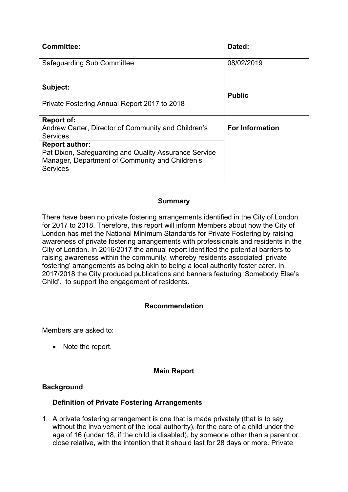| <b>Committee:</b>                                                                                                                                    | Dated:                 |
|------------------------------------------------------------------------------------------------------------------------------------------------------|------------------------|
| Safeguarding Sub Committee                                                                                                                           | 08/02/2019             |
| Subject:                                                                                                                                             |                        |
| Private Fostering Annual Report 2017 to 2018                                                                                                         | <b>Public</b>          |
| <b>Report of:</b><br>Andrew Carter, Director of Community and Children's<br><b>Services</b>                                                          | <b>For Information</b> |
| <b>Report author:</b><br>Pat Dixon, Safeguarding and Quality Assurance Service<br>Manager, Department of Community and Children's<br><b>Services</b> |                        |

### **Summary**

There have been no private fostering arrangements identified in the City of London for 2017 to 2018. Therefore, this report will inform Members about how the City of London has met the National Minimum Standards for Private Fostering by raising awareness of private fostering arrangements with professionals and residents in the City of London. In 2016/2017 the annual report identified the potential barriers to raising awareness within the community, whereby residents associated 'private fostering' arrangements as being akin to being a local authority foster carer. In 2017/2018 the City produced publications and banners featuring 'Somebody Else's Child'. to support the engagement of residents.

### **Recommendation**

Members are asked to:

• Note the report.

### **Main Report**

#### **Background**

### **Definition of Private Fostering Arrangements**

1. A private fostering arrangement is one that is made privately (that is to say without the involvement of the local authority), for the care of a child under the age of 16 (under 18, if the child is disabled), by someone other than a parent or close relative, with the intention that it should last for 28 days or more. Private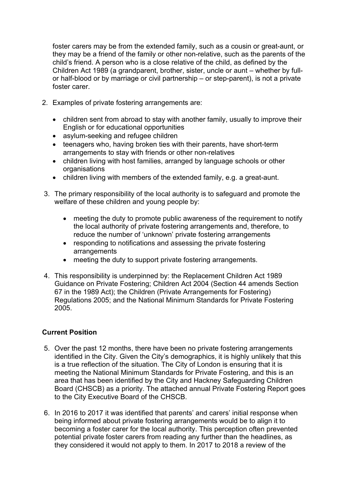foster carers may be from the extended family, such as a cousin or great-aunt, or they may be a friend of the family or other non-relative, such as the parents of the child's friend. A person who is a close relative of the child, as defined by the Children Act 1989 (a grandparent, brother, sister, uncle or aunt – whether by fullor half-blood or by marriage or civil partnership – or step-parent), is not a private foster carer.

- 2. Examples of private fostering arrangements are:
	- children sent from abroad to stay with another family, usually to improve their English or for educational opportunities
	- asylum-seeking and refugee children
	- teenagers who, having broken ties with their parents, have short-term arrangements to stay with friends or other non-relatives
	- children living with host families, arranged by language schools or other organisations
	- children living with members of the extended family, e.g. a great-aunt.
- 3. The primary responsibility of the local authority is to safeguard and promote the welfare of these children and young people by:
	- meeting the duty to promote public awareness of the requirement to notify the local authority of private fostering arrangements and, therefore, to reduce the number of 'unknown' private fostering arrangements
	- responding to notifications and assessing the private fostering arrangements
	- meeting the duty to support private fostering arrangements.
- 4. This responsibility is underpinned by: the Replacement Children Act 1989 Guidance on Private Fostering; Children Act 2004 (Section 44 amends Section 67 in the 1989 Act); the Children (Private Arrangements for Fostering) Regulations 2005; and the National Minimum Standards for Private Fostering 2005.

# **Current Position**

- 5. Over the past 12 months, there have been no private fostering arrangements identified in the City. Given the City's demographics, it is highly unlikely that this is a true reflection of the situation. The City of London is ensuring that it is meeting the National Minimum Standards for Private Fostering, and this is an area that has been identified by the City and Hackney Safeguarding Children Board (CHSCB) as a priority. The attached annual Private Fostering Report goes to the City Executive Board of the CHSCB.
- 6. In 2016 to 2017 it was identified that parents' and carers' initial response when being informed about private fostering arrangements would be to align it to becoming a foster carer for the local authority. This perception often prevented potential private foster carers from reading any further than the headlines, as they considered it would not apply to them. In 2017 to 2018 a review of the